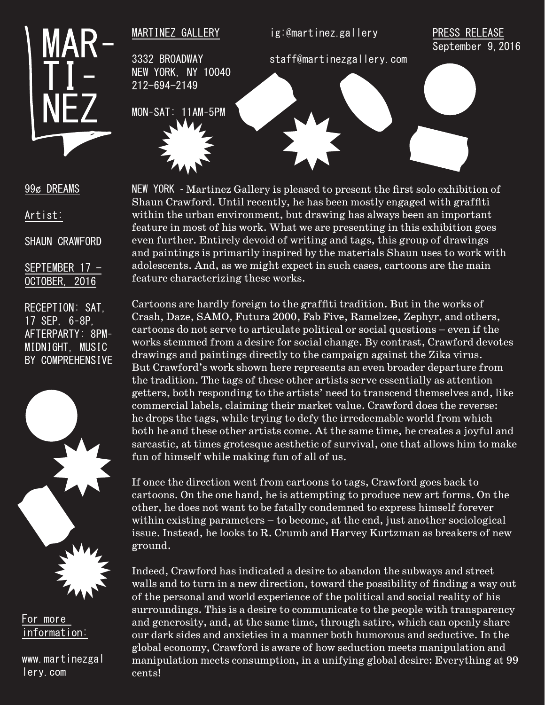

MARTINEZ GALLERY

3332 BROADWAY NEW YORK, NY 10040 212-694-2149

ig:@martinez.gallery

## PRESS RELEASE September 9, 2016

staff@martinezgallery.com

MON–SAT: 11AM–5PM



## 99¢ DREAMS

Artist:

SHAUN CRAWFORD

SEPTEMBER 17 - OCTOBER, 2016

RECEPTION: SAT, 17 SEP, 6–8P, AFTERPARTY: 8PM– MIDNIGHT, MUSIC BY COMPREHENSIVE



For more information:

www.martinezgal lery.com

NEW YORK - Martinez Gallery is pleased to present the first solo exhibition of Shaun Crawford. Until recently, he has been mostly engaged with graffiti within the urban environment, but drawing has always been an important feature in most of his work. What we are presenting in this exhibition goes even further. Entirely devoid of writing and tags, this group of drawings and paintings is primarily inspired by the materials Shaun uses to work with adolescents. And, as we might expect in such cases, cartoons are the main feature characterizing these works.

Cartoons are hardly foreign to the graffiti tradition. But in the works of Crash, Daze, SAMO, Futura 2000, Fab Five, Ramelzee, Zephyr, and others, cartoons do not serve to articulate political or social questions – even if the works stemmed from a desire for social change. By contrast, Crawford devotes drawings and paintings directly to the campaign against the Zika virus. But Crawford's work shown here represents an even broader departure from the tradition. The tags of these other artists serve essentially as attention getters, both responding to the artists' need to transcend themselves and, like commercial labels, claiming their market value. Crawford does the reverse: he drops the tags, while trying to defy the irredeemable world from which both he and these other artists come. At the same time, he creates a joyful and sarcastic, at times grotesque aesthetic of survival, one that allows him to make fun of himself while making fun of all of us.

If once the direction went from cartoons to tags, Crawford goes back to cartoons. On the one hand, he is attempting to produce new art forms. On the other, he does not want to be fatally condemned to express himself forever within existing parameters – to become, at the end, just another sociological issue. Instead, he looks to R. Crumb and Harvey Kurtzman as breakers of new ground.

Indeed, Crawford has indicated a desire to abandon the subways and street walls and to turn in a new direction, toward the possibility of finding a way out of the personal and world experience of the political and social reality of his surroundings. This is a desire to communicate to the people with transparency and generosity, and, at the same time, through satire, which can openly share our dark sides and anxieties in a manner both humorous and seductive. In the global economy, Crawford is aware of how seduction meets manipulation and manipulation meets consumption, in a unifying global desire: Everything at 99 cents!